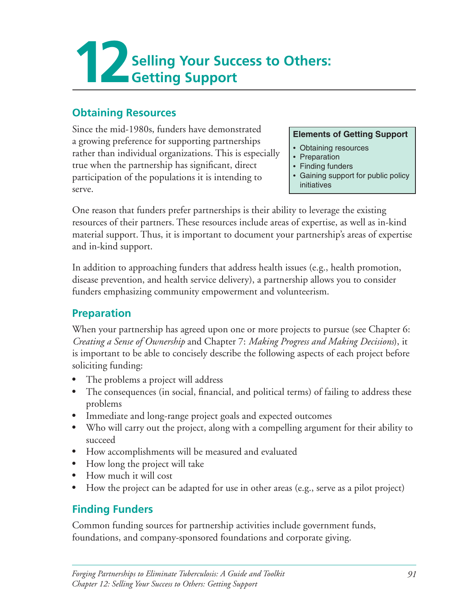

#### **Obtaining Resources**

Since the mid-1980s, funders have demonstrated a growing preference for supporting partnerships rather than individual organizations. This is especially true when the partnership has significant, direct participation of the populations it is intending to serve. 

#### **Elements of Getting Support**

- • Obtaining resources
- Preparation
- Finding funders
- Gaining support for public policy initiatives

One reason that funders prefer partnerships is their ability to leverage the existing resources of their partners. These resources include areas of expertise, as well as in-kind material support. Thus, it is important to document your partnership's areas of expertise and in-kind support.

In addition to approaching funders that address health issues  $(e.g.,$  health promotion, disease prevention, and health service delivery), a partnership allows you to consider funders emphasizing community empowerment and volunteerism.

#### **Preparation**

When your partnership has agreed upon one or more projects to pursue (see Chapter 6: *Creating a Sense of Ownership* and Chapter 7: *Making Progress and Making Decisions*), it is important to be able to concisely describe the following aspects of each project before soliciting funding:

- The problems a project will address
- The consequences (in social, financial, and political terms) of failing to address these problems
- Immediate and long-range project goals and expected outcomes
- Who will carry out the project, along with a compelling argument for their ability to succeed
- How accomplishments will be measured and evaluated
- How long the project will take
- How much it will cost
- How the project can be adapted for use in other areas  $(e.g.,\)$  serve as a pilot project)

## **Finding Funders**

Common funding sources for partnership activities include government funds, foundations, and company-sponsored foundations and corporate giving.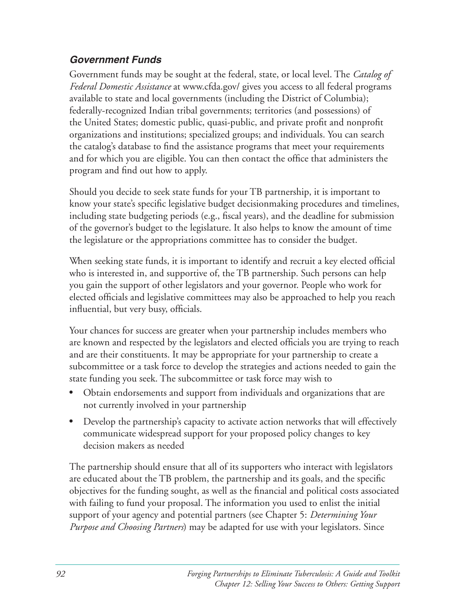#### *Government Funds*

Government funds may be sought at the federal, state, or local level. The *Catalog of Federal Domestic Assistance* at www.cfda.gov/ gives you access to all federal programs available to state and local governments (including the District of Columbia); federally-recognized Indian tribal governments; territories (and possessions) of the United States; domestic public, quasi-public, and private profit and nonprofit organizations and institutions; specialized groups; and individuals. You can search the catalog's database to find the assistance programs that meet your requirements and for which you are eligible. You can then contact the office that administers the program and find out how to apply.

Should you decide to seek state funds for your TB partnership, it is important to know your state's specific legislative budget decisionmaking procedures and timelines, including state budgeting periods (e.g., fiscal years), and the deadline for submission of the governor's budget to the legislature. It also helps to know the amount of time the legislature or the appropriations committee has to consider the budget.

When seeking state funds, it is important to identify and recruit a key elected official who is interested in, and supportive of, the TB partnership. Such persons can help you gain the support of other legislators and your governor. People who work for elected officials and legislative committees may also be approached to help you reach influential, but very busy, officials.

Your chances for success are greater when your partnership includes members who are known and respected by the legislators and elected officials you are trying to reach and are their constituents. It may be appropriate for your partnership to create a subcommittee or a task force to develop the strategies and actions needed to gain the state funding you seek. The subcommittee or task force may wish to

- Obtain endorsements and support from individuals and organizations that are not currently involved in your partnership
- Develop the partnership's capacity to activate action networks that will effectively communicate widespread support for your proposed policy changes to key decision makers as needed

The partnership should ensure that all of its supporters who interact with legislators are educated about the TB problem, the partnership and its goals, and the specific objectives for the funding sought, as well as the financial and political costs associated with failing to fund your proposal. The information you used to enlist the initial support of your agency and potential partners (see Chapter 5: *Determining Your Purpose and Choosing Partners*) may be adapted for use with your legislators. Since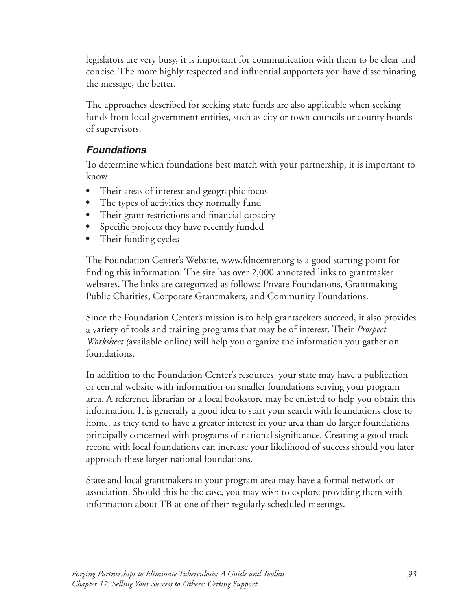legislators are very busy, it is important for communication with them to be clear and concise. The more highly respected and influential supporters you have disseminating the message, the better.

The approaches described for seeking state funds are also applicable when seeking funds from local government entities, such as city or town councils or county boards of supervisors.

#### *Foundations*

To determine which foundations best match with your partnership, it is important to know

- Their areas of interest and geographic focus
- The types of activities they normally fund
- Their grant restrictions and financial capacity
- Specific projects they have recently funded
- Their funding cycles

The Foundation Center's Website, www.fdncenter.org is a good starting point for finding this information. The site has over 2,000 annotated links to grantmaker websites. The links are categorized as follows: Private Foundations, Grantmaking Public Charities, Corporate Grantmakers, and Community Foundations.

Since the Foundation Center's mission is to help grantseekers succeed, it also provides a variety of tools and training programs that may be of interest. Their *Prospect Worksheet* (available online) will help you organize the information you gather on foundations. 

In addition to the Foundation Center's resources, your state may have a publication or central website with information on smaller foundations serving your program area. A reference librarian or a local bookstore may be enlisted to help you obtain this information. It is generally a good idea to start your search with foundations close to home, as they tend to have a greater interest in your area than do larger foundations principally concerned with programs of national significance. Creating a good track record with local foundations can increase your likelihood of success should you later approach these larger national foundations.

State and local grantmakers in your program area may have a formal network or association. Should this be the case, you may wish to explore providing them with information about TB at one of their regularly scheduled meetings.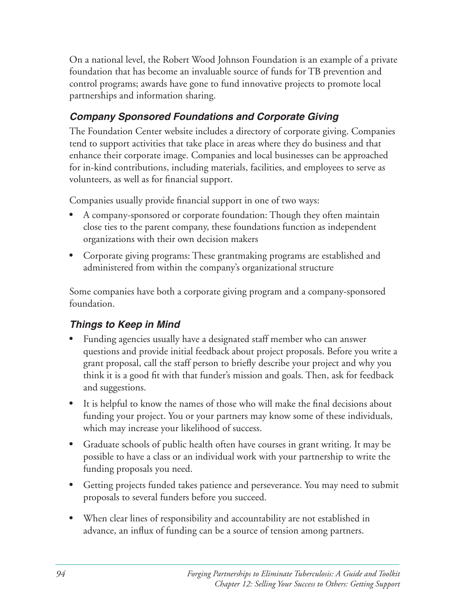On a national level, the Robert Wood Johnson Foundation is an example of a private foundation that has become an invaluable source of funds for TB prevention and control programs; awards have gone to fund innovative projects to promote local partnerships and information sharing.

### *Company Sponsored Foundations and Corporate Giving*

The Foundation Center website includes a directory of corporate giving. Companies tend to support activities that take place in areas where they do business and that enhance their corporate image. Companies and local businesses can be approached for in-kind contributions, including materials, facilities, and employees to serve as volunteers, as well as for financial support.

Companies usually provide financial support in one of two ways:

- A company-sponsored or corporate foundation: Though they often maintain close ties to the parent company, these foundations function as independent organizations with their own decision makers
- Corporate giving programs: These grantmaking programs are established and administered from within the company's organizational structure

Some companies have both a corporate giving program and a company-sponsored foundation.

### *Things to Keep in Mind*

- Funding agencies usually have a designated staff member who can answer questions and provide initial feedback about project proposals. Before you write a grant proposal, call the staff person to briefly describe your project and why you think it is a good fit with that funder's mission and goals. Then, ask for feedback and suggestions.
- It is helpful to know the names of those who will make the final decisions about funding your project. You or your partners may know some of these individuals, which may increase your likelihood of success.
- Graduate schools of public health often have courses in grant writing. It may be possible to have a class or an individual work with your partnership to write the funding proposals you need.
- Getting projects funded takes patience and perseverance. You may need to submit proposals to several funders before you succeed.
- When clear lines of responsibility and accountability are not established in advance, an influx of funding can be a source of tension among partners.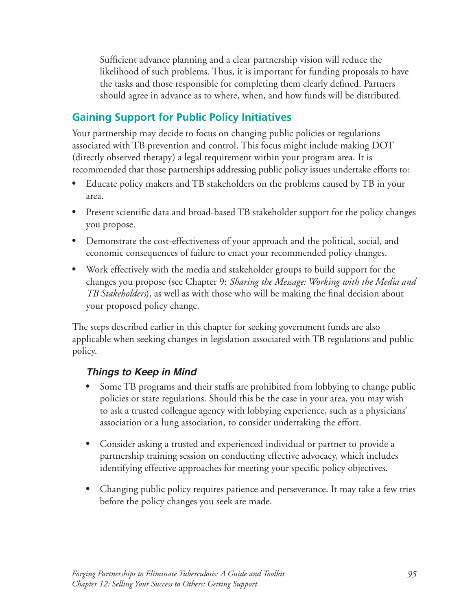Sufficient advance planning and a clear partnership vision will reduce the likelihood of such problems. Thus, it is important for funding proposals to have the tasks and those responsible for completing them clearly defined. Partners should agree in advance as to where, when, and how funds will be distributed.

# **Gaining Support for Public Policy Initiatives**

Your partnership may decide to focus on changing public policies or regulations associated with TB prevention and control. This focus might include making DOT (directly observed therapy) a legal requirement within your program area. It is recommended that those partnerships addressing public policy issues undertake efforts to:

- Educate policy makers and TB stakeholders on the problems caused by TB in your area.
- Present scientific data and broad-based TB stakeholder support for the policy changes you propose.
- Demonstrate the cost-effectiveness of your approach and the political, social, and economic consequences of failure to enact your recommended policy changes.
- Work effectively with the media and stakeholder groups to build support for the changes you propose (see Chapter 9: *Sharing the Message: Working with the Media and TB Stakeholders*), as well as with those who will be making the final decision about your proposed policy change.

The steps described earlier in this chapter for seeking government funds are also applicable when seeking changes in legislation associated with TB regulations and public policy.

### *Things to Keep in Mind*

- Some TB programs and their staffs are prohibited from lobbying to change public policies or state regulations. Should this be the case in your area, you may wish to ask a trusted colleague agency with lobbying experience, such as a physicians' association or a lung association, to consider undertaking the effort.
- Consider asking a trusted and experienced individual or partner to provide a partnership training session on conducting effective advocacy, which includes identifying effective approaches for meeting your specific policy objectives.
- Changing public policy requires patience and perseverance. It may take a few tries before the policy changes you seek are made.